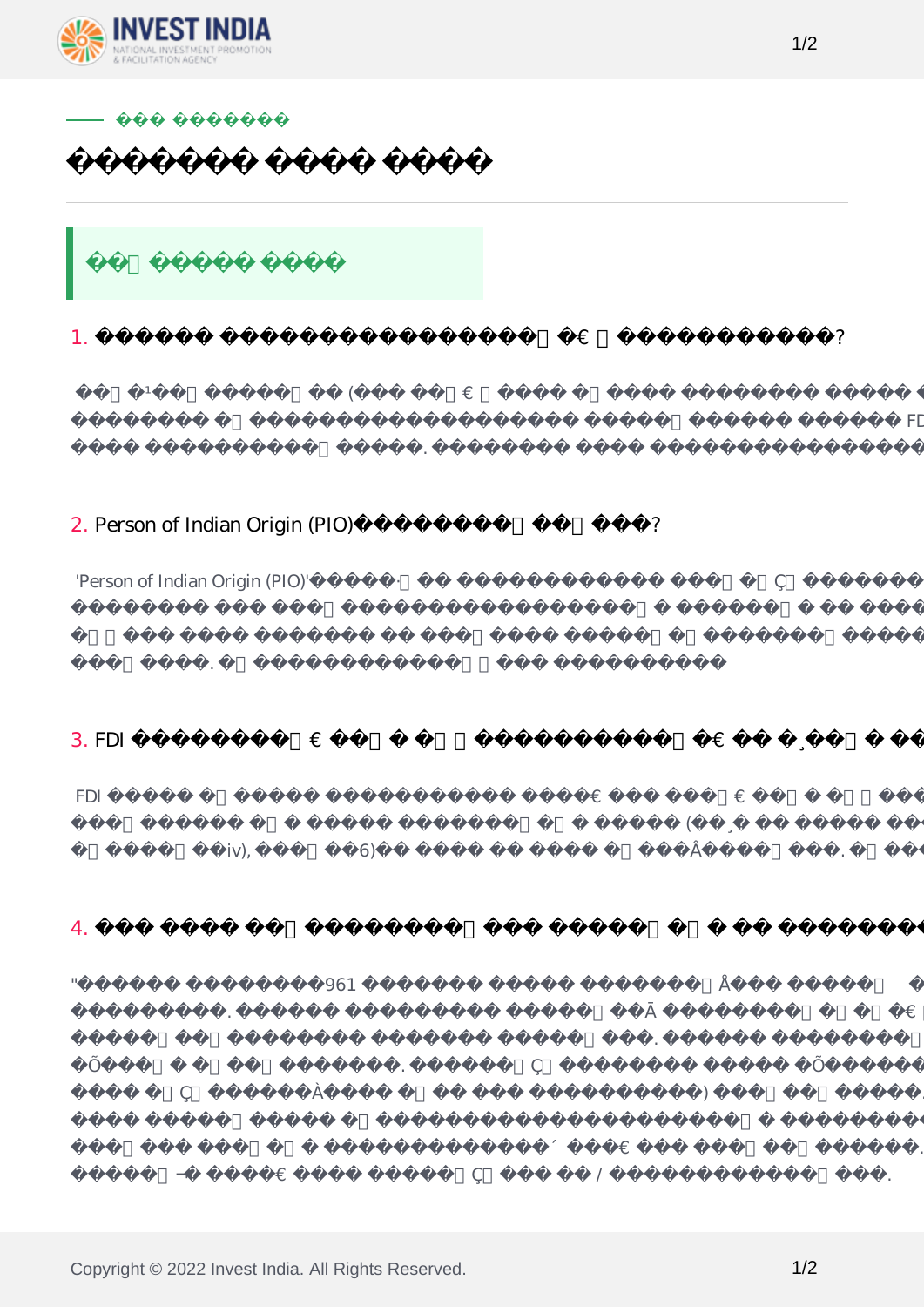







| <b>FDI</b> |             |  |                      | $\frac{1}{2}$ , $\frac{1}{2}$ , $\frac{1}{2}$ , $\frac{1}{2}$ , $\frac{1}{2}$ |  |
|------------|-------------|--|----------------------|-------------------------------------------------------------------------------|--|
|            |             |  | $($ ) / $($ ) FDI -3 |                                                                               |  |
|            | $(iv),$ (6) |  |                      |                                                                               |  |

| 4.                                                                                                                 |                                |                                      |           |                        | っ         |
|--------------------------------------------------------------------------------------------------------------------|--------------------------------|--------------------------------------|-----------|------------------------|-----------|
| $\mathsf{H}% _{\mathsf{H}}^{\text{op}}(\mathcal{M}_{0})\simeq\mathsf{H}_{\mathsf{H}}^{\text{op}}(\mathcal{M}_{0})$ | 1961<br>$\mathbf{H}_\parallel$ |                                      |           |                        |           |
| $\bullet$                                                                                                          |                                |                                      | $\bullet$ | $\bullet$              |           |
|                                                                                                                    |                                | $\bullet$<br>$\rightarrow$<br>$\,$ , | $($ $)$   | $\bullet$              | $\bullet$ |
|                                                                                                                    |                                |                                      |           | $\bullet$<br>$\bullet$ |           |

1/2